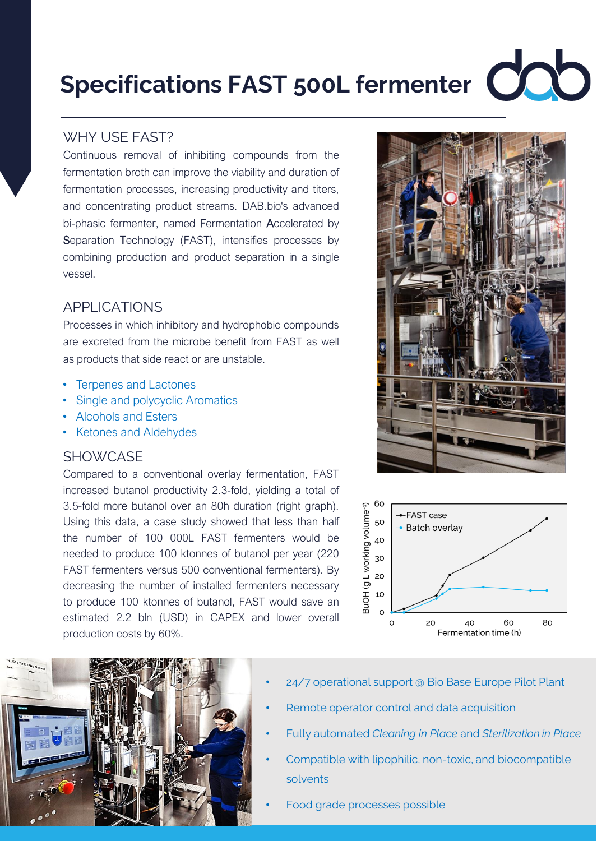# **Specifications FAST 500L fermenter COOO**

## WHY USE FAST?

Continuous removal of inhibiting compounds from the fermentation broth can improve the viability and duration of fermentation processes, increasing productivity and titers, and concentrating product streams. DAB.bio's advanced bi-phasic fermenter, named Fermentation Accelerated by Separation Technology (FAST), intensifies processes by combining production and product separation in a single vessel.

### APPLICATIONS

Processes in which inhibitory and hydrophobic compounds are excreted from the microbe benefit from FAST as well as products that side react or are unstable.

- Terpenes and Lactones
- Single and polycyclic Aromatics
- Alcohols and Esters
- Ketones and Aldehydes

#### **SHOWCASE**

Compared to a conventional overlay fermentation, FAST increased butanol productivity 2.3-fold, yielding a total of 3.5-fold more butanol over an 80h duration (right graph). Using this data, a case study showed that less than half the number of 100 000L FAST fermenters would be needed to produce 100 ktonnes of butanol per year (220 FAST fermenters versus 500 conventional fermenters). By decreasing the number of installed fermenters necessary to produce 100 ktonnes of butanol, FAST would save an estimated 2.2 bln (USD) in CAPEX and lower overall production costs by 60%.







- 24/7 operational support @ Bio Base Europe Pilot Plant
- Remote operator control and data acquisition
- Fully automated *Cleaning in Place* and *Sterilization in Place*
- Compatible with lipophilic, non-toxic, and biocompatible solvents
- Food grade processes possible